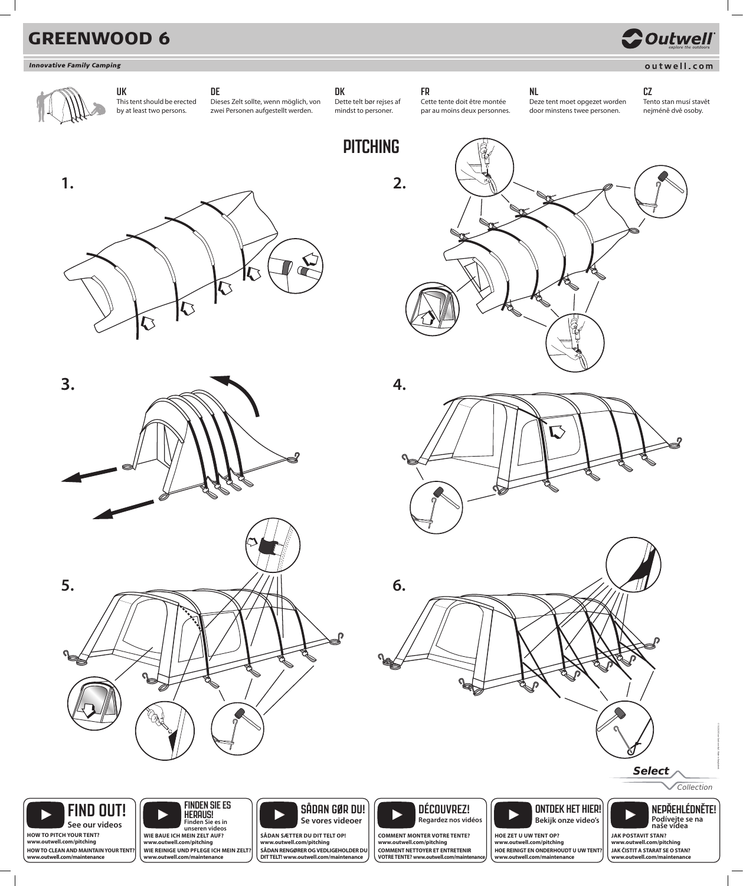**HOW TO PITCH YOUR TENT? www.outwell.com/pitching HOW TO CLEAN AND MAINTAIN YOUR TENT? www.outwell.com/maintenance**

**See our videos**

**SÅDAN SÆTTER DU DIT TELT OP! www.outwell.com/pitching SÅDAN RENGØRER OG VEDLIGEHOLDER DU DIT TELT! www.outwell.com/maintenance**



**www.outwell.com/pitching COMMENT NETTOYER ET ENTRETENIR VOTRE TENTE? www.outwell.com/maintenance**



**www.outwell.com/pitching HOE REINIGT EN ONDERHOUDT U UW TENT? www.outwell.com/maintenance**

**JAK ČISTIT A STARAT SE O STAN? www.outwell.com/maintenance**

### **DE**

Dieses Zelt sollte, wenn möglich, von zwei Personen aufgestellt werden.



**DK** Dette telt bør rejses af mindst to personer.

**FR** 

Cette tente doit être montée par au moins deux personnes. **NL**  Deze tent moet opgezet worden door minstens twee personen.

**CZ** Tento stan musí stavět nejméně dvě osoby.

## **GREENWOOD 6**

**UK**

### **Innovative Family Camping**

# **COutwell**





This tent should be erected by at least two persons.